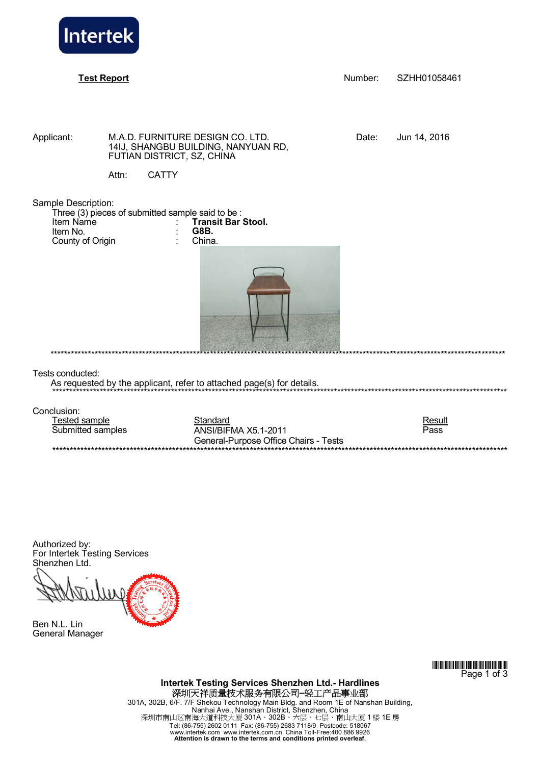

**Test Report** Number: SZHH01058461

Applicant: M.A.D. FURNITURE DESIGN CO. LTD. Date: Jun 14, 2016 14IJ, SHANGBU BUILDING, NANYUAN RD, FUTIAN DISTRICT, SZ, CHINA

Attn: CATTY

Sample Description:

| Three (3) pieces of submitted sample said to be: |  |                           |  |  |
|--------------------------------------------------|--|---------------------------|--|--|
| Item Name                                        |  | <b>Transit Bar Stool.</b> |  |  |
| Item No.                                         |  | G8B.                      |  |  |
| County of Origin                                 |  | China.                    |  |  |



Tests conducted:

As requested by the applicant, refer to attached page(s) for details.

Conclusion:

Tested sample **Standard Result Result** Submitted samples ANSI/BIFMA X5.1-2011 General-Purpose Office Chairs - Tests \*\*\*\*\*\*\*\*\*\*\*\*\*\*\*\*\*\*\*\*\*\*\*\*\*\*\*\*\*\*\*\*\*\*\*\*\*\*\*\*\*\*\*\*\*\*\*\*\*\*\*\*\*\*\*\*\*\*\*\*\*\*\*\*\*\*\*\*\*\*\*\*\*\*\*\*\*\*\*\*\*\*\*\*\*\*\*\*\*\*\*\*\*\*\*\*\*\*\*\*\*\*\*\*\*\*\*\*\*\*\*\*\*\*\*\*\*\*\*\*\*\*\*\*\*\*\*\*\*



\*\*\*\*\*\*\*\*\*\*\*\*\*\*\*\*\*\*\*\*\*\*\*\*\*\*\*\*\*\*\*\*\*\*\*\*\*\*\*\*\*\*\*\*\*\*\*\*\*\*\*\*\*\*\*\*\*\*\*\*\*\*\*\*\*\*\*\*\*\*\*\*\*\*\*\*\*\*\*\*\*\*\*\*\*\*\*\*\*\*\*\*\*\*\*\*\*\*\*\*\*\*\*\*\*\*\*\*\*\*\*\*\*\*\*\*\*\*\*\*\*\*\*\*\*\*\*\*\*\*\*\*\*\*

Authorized by: For Intertek Testing Services Shenzhen Ltd.

Ben N.L. Lin General Manager

> \*ZHJ1058461\* Page 1 of 3

**Intertek Testing Services Shenzhen Ltd.- Hardlines**  深圳天祥质量技术服务有限公司**–**轻工产品事业部 301A, 302B, 6/F. 7/F Shekou Technology Main Bldg. and Room 1E of Nanshan Building, Nanhai Ave., Nanshan District, Shenzhen, China<br>深圳市南山区南海大道科技大厦 301A、302B、六层、七层、南山大厦 1 楼 1E 房 Tel: (86-755) 2602 0111 Fax: (86-755) 2683 7118/9 Postcode: 518067 www.intertek.com www.intertek.com.cn China Toll-Free:400 886 9926 **Attention is drawn to the terms and conditions printed overleaf.**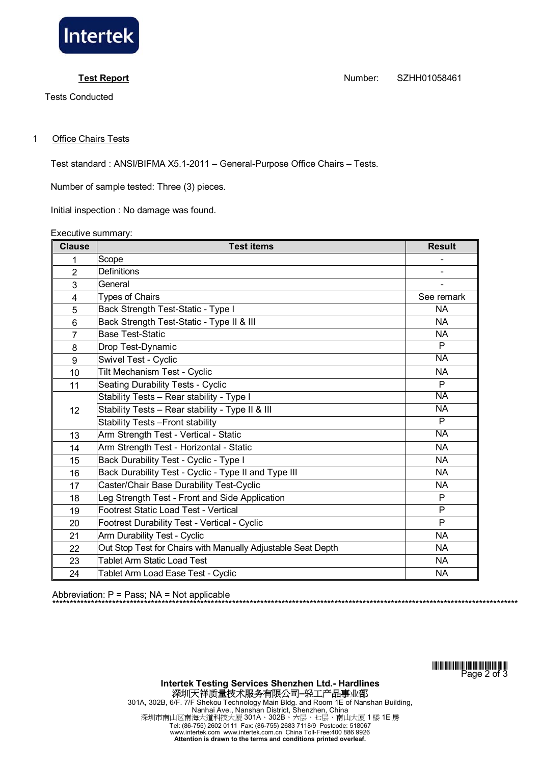

Tests Conducted

**Test Report** Number: SZHH01058461

## 1 Office Chairs Tests

Test standard : ANSI/BIFMA X5.1-2011 – General-Purpose Office Chairs – Tests.

Number of sample tested: Three (3) pieces.

Initial inspection : No damage was found.

Executive summary:

| <b>Clause</b>  | <b>Test items</b>                                            | <b>Result</b>  |
|----------------|--------------------------------------------------------------|----------------|
| 1              | Scope                                                        |                |
| $\overline{2}$ | <b>Definitions</b>                                           |                |
| 3              | General                                                      |                |
| 4              | <b>Types of Chairs</b>                                       | See remark     |
| 5              | Back Strength Test-Static - Type I                           | NA             |
| 6              | Back Strength Test-Static - Type II & III                    | <b>NA</b>      |
| $\overline{7}$ | <b>Base Test-Static</b>                                      | <b>NA</b>      |
| 8              | Drop Test-Dynamic                                            | P              |
| 9              | Swivel Test - Cyclic                                         | <b>NA</b>      |
| 10             | Tilt Mechanism Test - Cyclic                                 | <b>NA</b>      |
| 11             | <b>Seating Durability Tests - Cyclic</b>                     | P              |
| 12             | Stability Tests - Rear stability - Type I                    | <b>NA</b>      |
|                | Stability Tests - Rear stability - Type II & III             | <b>NA</b>      |
|                | <b>Stability Tests - Front stability</b>                     | $\overline{P}$ |
| 13             | Arm Strength Test - Vertical - Static                        | <b>NA</b>      |
| 14             | Arm Strength Test - Horizontal - Static                      | <b>NA</b>      |
| 15             | Back Durability Test - Cyclic - Type I                       | <b>NA</b>      |
| 16             | Back Durability Test - Cyclic - Type II and Type III         | <b>NA</b>      |
| 17             | Caster/Chair Base Durability Test-Cyclic                     | <b>NA</b>      |
| 18             | Leg Strength Test - Front and Side Application               | P              |
| 19             | Footrest Static Load Test - Vertical                         | $\mathsf{P}$   |
| 20             | Footrest Durability Test - Vertical - Cyclic                 | P              |
| 21             | Arm Durability Test - Cyclic                                 | <b>NA</b>      |
| 22             | Out Stop Test for Chairs with Manually Adjustable Seat Depth | <b>NA</b>      |
| 23             | <b>Tablet Arm Static Load Test</b>                           | <b>NA</b>      |
| 24             | Tablet Arm Load Ease Test - Cyclic                           | <b>NA</b>      |

Abbreviation:  $P = Pass$ ;  $NA = Not applicable$ 

<u>\*ZHI 1058461\*1058461\*1058461\*1058461\*1058461\*1058461\*1058461\*1058461\*1058461\*1058461</u> Page 2 of 3

\*\*\*\*\*\*\*\*\*\*\*\*\*\*\*\*\*\*\*\*\*\*\*\*\*\*\*\*\*\*\*\*\*\*\*\*\*\*\*\*\*\*\*\*\*\*\*\*\*\*\*\*\*\*\*\*\*\*\*\*\*\*\*\*\*\*\*\*\*\*\*\*\*\*\*\*\*\*\*\*\*\*\*\*\*\*\*\*\*\*\*\*\*\*\*\*\*\*\*\*\*\*\*\*\*\*\*\*\*\*\*\*\*\*\*\*\*\*\*\*\*\*\*\*\*\*\*\*\*\*\*\*

**Intertek Testing Services Shenzhen Ltd.- Hardlines**  深圳天祥质量技术服务有限公司**–**轻工产品事业部 301A, 302B, 6/F. 7/F Shekou Technology Main Bldg. and Room 1E of Nanshan Building, Nanhai Ave., Nanshan District, Shenzhen, China 深圳市南山区南海大道科技大厦 301A、302B、六层、七层、南山大厦 1 楼 1E 房 Tel: (86-755) 2602 0111 Fax: (86-755) 2683 7118/9 Postcode: 518067 www.intertek.com www.intertek.com.cn China Toll-Free:400 886 9926 **Attention is drawn to the terms and conditions printed overleaf.**